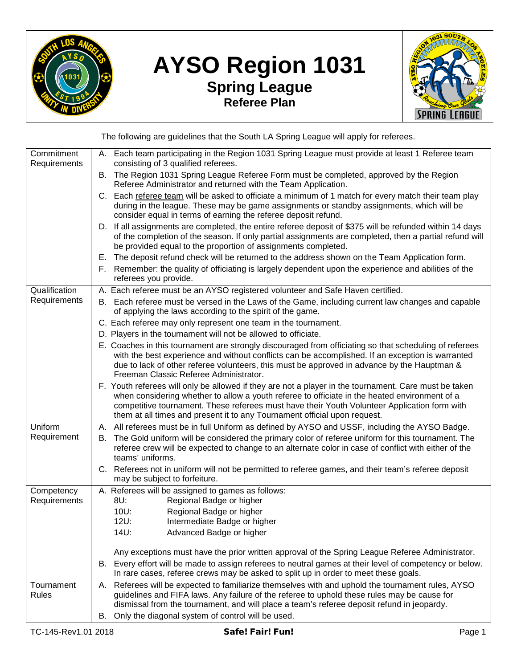

## **AYSO Region 1031 Spring League Referee Plan**



The following are guidelines that the South LA Spring League will apply for referees.

| Commitment<br>Requirements | A. Each team participating in the Region 1031 Spring League must provide at least 1 Referee team<br>consisting of 3 qualified referees.                                                                                                                                                                                                                                             |
|----------------------------|-------------------------------------------------------------------------------------------------------------------------------------------------------------------------------------------------------------------------------------------------------------------------------------------------------------------------------------------------------------------------------------|
|                            | B. The Region 1031 Spring League Referee Form must be completed, approved by the Region<br>Referee Administrator and returned with the Team Application.                                                                                                                                                                                                                            |
|                            | C. Each referee team will be asked to officiate a minimum of 1 match for every match their team play<br>during in the league. These may be game assignments or standby assignments, which will be<br>consider equal in terms of earning the referee deposit refund.                                                                                                                 |
|                            | D. If all assignments are completed, the entire referee deposit of \$375 will be refunded within 14 days<br>of the completion of the season. If only partial assignments are completed, then a partial refund will<br>be provided equal to the proportion of assignments completed.                                                                                                 |
|                            | The deposit refund check will be returned to the address shown on the Team Application form.<br>Е.<br>F. Remember: the quality of officiating is largely dependent upon the experience and abilities of the<br>referees you provide.                                                                                                                                                |
| Qualification              | A. Each referee must be an AYSO registered volunteer and Safe Haven certified.                                                                                                                                                                                                                                                                                                      |
| Requirements               | B. Each referee must be versed in the Laws of the Game, including current law changes and capable<br>of applying the laws according to the spirit of the game.                                                                                                                                                                                                                      |
|                            | C. Each referee may only represent one team in the tournament.                                                                                                                                                                                                                                                                                                                      |
|                            | D. Players in the tournament will not be allowed to officiate.                                                                                                                                                                                                                                                                                                                      |
|                            | E. Coaches in this tournament are strongly discouraged from officiating so that scheduling of referees                                                                                                                                                                                                                                                                              |
|                            | with the best experience and without conflicts can be accomplished. If an exception is warranted<br>due to lack of other referee volunteers, this must be approved in advance by the Hauptman &<br>Freeman Classic Referee Administrator.                                                                                                                                           |
|                            | F. Youth referees will only be allowed if they are not a player in the tournament. Care must be taken<br>when considering whether to allow a youth referee to officiate in the heated environment of a<br>competitive tournament. These referees must have their Youth Volunteer Application form with<br>them at all times and present it to any Tournament official upon request. |
| Uniform                    | A. All referees must be in full Uniform as defined by AYSO and USSF, including the AYSO Badge.                                                                                                                                                                                                                                                                                      |
| Requirement                | The Gold uniform will be considered the primary color of referee uniform for this tournament. The<br>В.<br>referee crew will be expected to change to an alternate color in case of conflict with either of the<br>teams' uniforms.                                                                                                                                                 |
|                            | C. Referees not in uniform will not be permitted to referee games, and their team's referee deposit<br>may be subject to forfeiture.                                                                                                                                                                                                                                                |
| Competency                 | A. Referees will be assigned to games as follows:                                                                                                                                                                                                                                                                                                                                   |
| Requirements               | Regional Badge or higher<br>8U:                                                                                                                                                                                                                                                                                                                                                     |
|                            | 10U:<br>Regional Badge or higher                                                                                                                                                                                                                                                                                                                                                    |
|                            | 12U:<br>Intermediate Badge or higher                                                                                                                                                                                                                                                                                                                                                |
|                            | 14U:<br>Advanced Badge or higher                                                                                                                                                                                                                                                                                                                                                    |
|                            | Any exceptions must have the prior written approval of the Spring League Referee Administrator.                                                                                                                                                                                                                                                                                     |
|                            |                                                                                                                                                                                                                                                                                                                                                                                     |
|                            | Every effort will be made to assign referees to neutral games at their level of competency or below.<br>В.<br>In rare cases, referee crews may be asked to split up in order to meet these goals.                                                                                                                                                                                   |
|                            |                                                                                                                                                                                                                                                                                                                                                                                     |
| Tournament<br>Rules        | Referees will be expected to familiarize themselves with and uphold the tournament rules, AYSO<br>А.<br>guidelines and FIFA laws. Any failure of the referee to uphold these rules may be cause for<br>dismissal from the tournament, and will place a team's referee deposit refund in jeopardy.                                                                                   |
|                            | Only the diagonal system of control will be used.<br>В.                                                                                                                                                                                                                                                                                                                             |
|                            |                                                                                                                                                                                                                                                                                                                                                                                     |